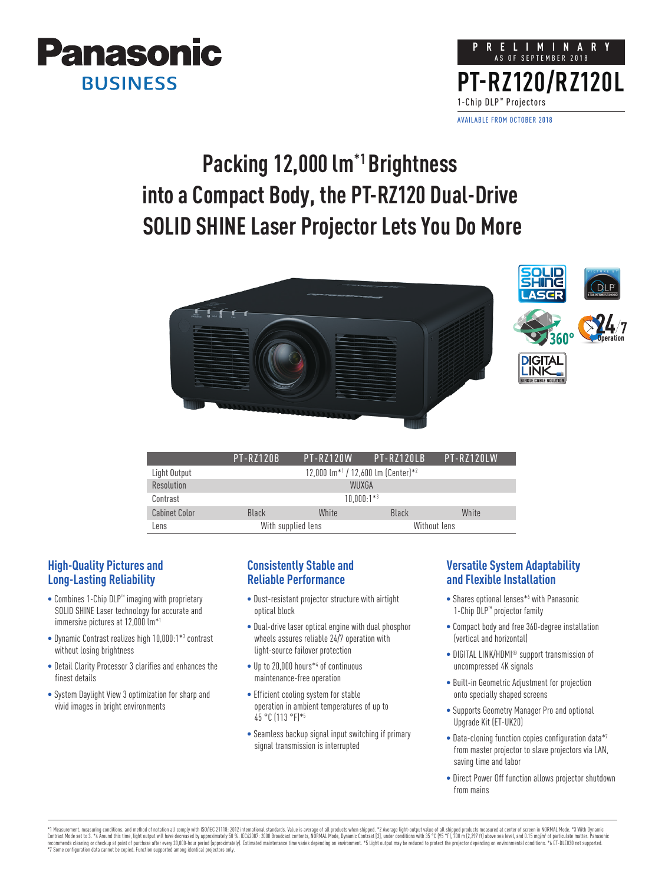



## **Packing 12,000 lm\*1 Brightness into a Compact Body, the PT-RZ120 Dual-Drive SOLID SHINE Laser Projector Lets You Do More**



|                      | <b>PT-RZ120B</b> | <b>PT-R7120W</b>                                                  | $PI-R7120IR$ | $PI-R71201W$ |  |  |
|----------------------|------------------|-------------------------------------------------------------------|--------------|--------------|--|--|
| Light Output         |                  | 12.000 $\mathrm{Im}^{*1}$ / 12.600 $\mathrm{Im}$ (Center) $^{*2}$ |              |              |  |  |
| Resolution           | WUXGA            |                                                                   |              |              |  |  |
| Contrast             |                  | $10.000:1**3$                                                     |              |              |  |  |
| <b>Cabinet Color</b> | Black            | White                                                             | Black        | White        |  |  |
| Lens                 |                  | With supplied lens                                                |              | Without Lens |  |  |

## **High-Quality Pictures and Long-Lasting Reliability**

- Combines 1-Chip DLP™ imaging with proprietary SOLID SHINE Laser technology for accurate and immersive pictures at 12,000 lm\*1
- Dynamic Contrast realizes high 10,000:1\*3 contrast without losing brightness
- Detail Clarity Processor 3 clarifies and enhances the finest details
- System Daylight View 3 optimization for sharp and vivid images in bright environments

#### **Consistently Stable and Reliable Performance**

- Dust-resistant projector structure with airtight optical block
- Dual-drive laser optical engine with dual phosphor wheels assures reliable 24/7 operation with light-source failover protection
- Up to 20,000 hours\*4 of continuous maintenance-free operation
- Efficient cooling system for stable operation in ambient temperatures of up to 45 °C (113 °F)\*5
- Seamless backup signal input switching if primary signal transmission is interrupted

### **Versatile System Adaptability and Flexible Installation**

- Shares optional lenses\*6 with Panasonic 1-Chip DLP™ projector family
- Compact body and free 360-degree installation (vertical and horizontal)
- DIGITAL LINK/HDMI<sup>®</sup> support transmission of uncompressed 4K signals
- Built-in Geometric Adjustment for projection onto specially shaped screens
- Supports Geometry Manager Pro and optional Upgrade Kit (ET-UK20)
- Data-cloning function copies configuration data\*7 from master projector to slave projectors via LAN, saving time and labor
- Direct Power Off function allows projector shutdown from mains

\*1 Measurement, measuring conditions, and method of notation all comply with ISO/IEC 21118: 2012 international standards. Value is average of all products when shipped. \*2 Average light-output value of all shipped products \*7 Some configuration data cannot be copied. Function supported among identical projectors only.